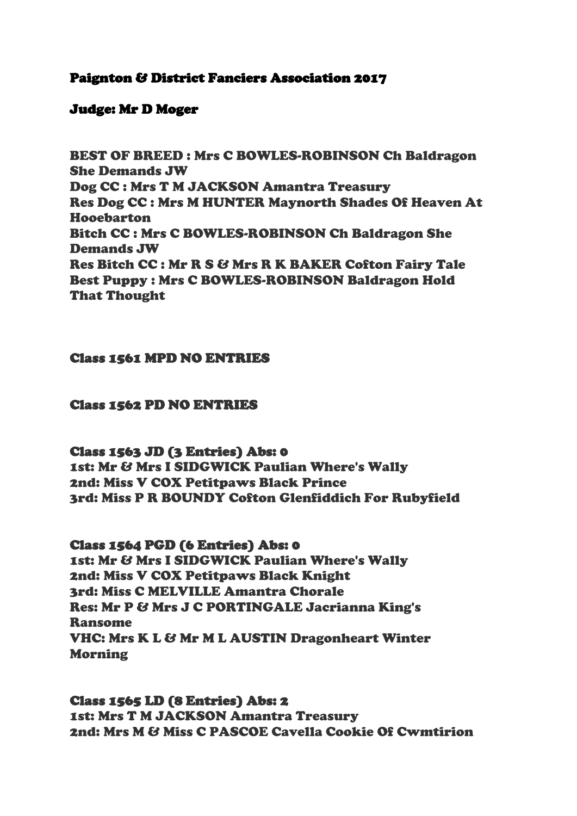# Paignton & District Fanciers Association 2017

# Judge: Mr D Moger

BEST OF BREED : Mrs C BOWLES-ROBINSON Ch Baldragon She Demands JW Dog CC : Mrs T M JACKSON Amantra Treasury Res Dog CC : Mrs M HUNTER Maynorth Shades Of Heaven At Hooebarton Bitch CC : Mrs C BOWLES-ROBINSON Ch Baldragon She Demands JW Res Bitch CC : Mr R S & Mrs R K BAKER Cofton Fairy Tale Best Puppy : Mrs C BOWLES-ROBINSON Baldragon Hold That Thought

## Class 1561 MPD NO ENTRIES

## Class 1562 PD NO ENTRIES

## Class 1563 JD (3 Entries) Abs: 0

1st: Mr & Mrs I SIDGWICK Paulian Where's Wally 2nd: Miss V COX Petitpaws Black Prince 3rd: Miss P R BOUNDY Cofton Glenfiddich For Rubyfield

## Class 1564 PGD (6 Entries) Abs: 0

1st: Mr & Mrs I SIDGWICK Paulian Where's Wally 2nd: Miss V COX Petitpaws Black Knight 3rd: Miss C MELVILLE Amantra Chorale Res: Mr P & Mrs J C PORTINGALE Jacrianna King's Ransome VHC: Mrs K L & Mr M L AUSTIN Dragonheart Winter Morning

Class 1565 LD (8 Entries) Abs: 2 1st: Mrs T M JACKSON Amantra Treasury 2nd: Mrs M & Miss C PASCOE Cavella Cookie Of Cwmtirion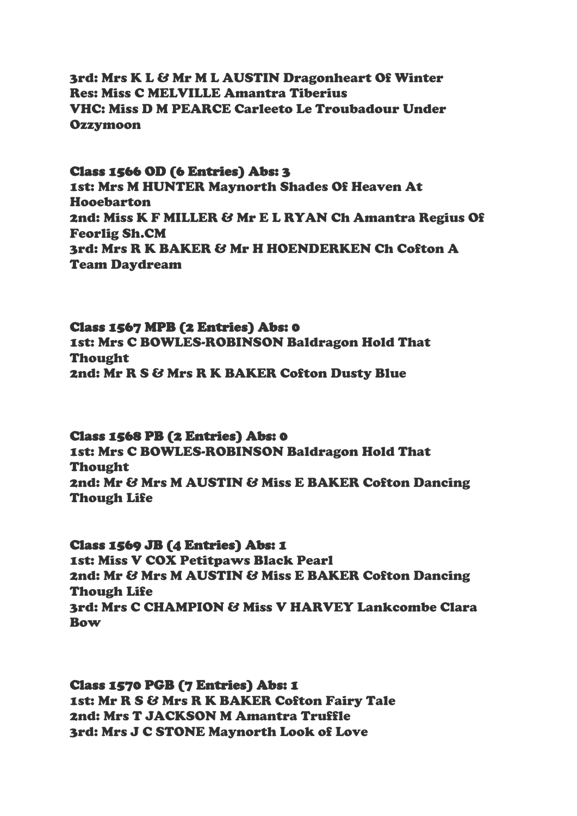3rd: Mrs K L & Mr M L AUSTIN Dragonheart Of Winter Res: Miss C MELVILLE Amantra Tiberius VHC: Miss D M PEARCE Carleeto Le Troubadour Under **Ozzymoon** 

### Class 1566 OD (6 Entries) Abs: 3

1st: Mrs M HUNTER Maynorth Shades Of Heaven At Hooebarton 2nd: Miss K F MILLER & Mr E L RYAN Ch Amantra Regius Of Feorlig Sh.CM 3rd: Mrs R K BAKER & Mr H HOENDERKEN Ch Cofton A Team Daydream

### Class 1567 MPB (2 Entries) Abs: 0

1st: Mrs C BOWLES-ROBINSON Baldragon Hold That Thought 2nd: Mr R S & Mrs R K BAKER Cofton Dusty Blue

#### Class 1568 PB (2 Entries) Abs: 0

1st: Mrs C BOWLES-ROBINSON Baldragon Hold That Thought 2nd: Mr & Mrs M AUSTIN & Miss E BAKER Cofton Dancing Though Life

### Class 1569 JB (4 Entries) Abs: 1

1st: Miss V COX Petitpaws Black Pearl 2nd: Mr & Mrs M AUSTIN & Miss E BAKER Cofton Dancing Though Life 3rd: Mrs C CHAMPION & Miss V HARVEY Lankcombe Clara Bow

#### Class 1570 PGB (7 Entries) Abs: 1

1st: Mr R S & Mrs R K BAKER Cofton Fairy Tale 2nd: Mrs T JACKSON M Amantra Truffle 3rd: Mrs J C STONE Maynorth Look of Love